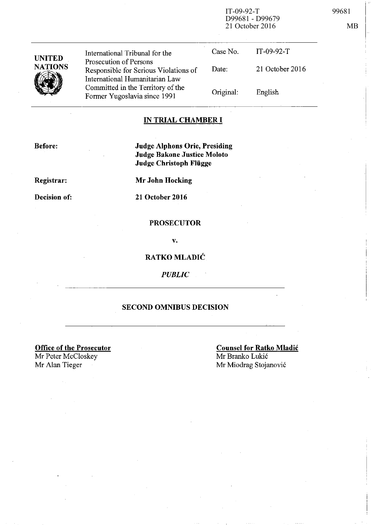IT-09-92-T 99681 D99681 - D99679 21 October 2016 MB

| <b>UNITED</b><br><b>NATIONS</b> | International Tribunal for the<br>Prosecution of Persons<br>Responsible for Serious Violations of<br>International Humanitarian Law<br>Committed in the Territory of the<br>Former Yugoslavia since 1991 | Case No.  | $IT-09-92-T$    |
|---------------------------------|----------------------------------------------------------------------------------------------------------------------------------------------------------------------------------------------------------|-----------|-----------------|
|                                 |                                                                                                                                                                                                          | Date:     | 21 October 2016 |
|                                 |                                                                                                                                                                                                          | Original: | English         |
|                                 |                                                                                                                                                                                                          |           |                 |

## **IN TRIAL CHAMBER I**

**Before:** 

**Judge Alphons Orie, Presiding Judge Bakone Justice Moloto Judge Christoph Fliigge** 

**Registrar:** 

**Decision of:** 

**Mr John Hocking** 

**21 October 2016** 

### **PROSECUTOR**

v.

# **RATKO MLADIĆ**

*PUBLIC* 

# **SECOND OMNIBUS DECISION**

**Office of the Prosecutor** 

Mr Peter McCloskey Mr Alan Tieger Mr Miodrag Stojanović

**Counsel for Ratko Mladic**  Mr Branko Lukić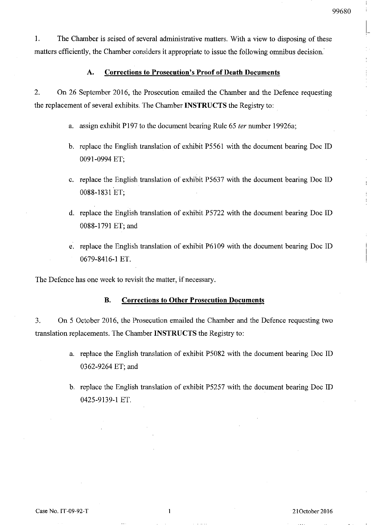1. The Chamber is seised of several administrative matters. With a view to disposing of these matters efficiently, the Chamber considers it appropriate to issue the following omnibus decision.

#### A. **Corrections to Prosecution's Proof of Death Documents**

2. On 26 September 2016, the Prosecution emailed the Chamber and the Defence requesting the replacement of several exhibits. The Chamber **INSTRUCTS** the Registry to:

- a. assign exhibit P197 to the document bearing Rule 65 *ter* number 19926a;
- b. replace the English translation of exhibit P5561 with the document bearing Doc ID 0091-0994 ET;
- c. replace the English translation of exhibit P5637 with the document bearing Doc ID 0088-1831 ET;
- d. replace the English translation of exhibit P5722 with the document bearing Doc ID 0088-1791 ET; and
- e. replace the English translation of exhibit P6109 with the document bearing Doc ID 0679-8416-1 ET.

The Defence has one week to revisit the matter, if necessary.

#### B. **Corrections to Other Prosecution Documents**

3. On 5 October 2016, the Prosecution emailed the Chamber and the Defence requesting two translation replacements. The Chamber **INSTRUCTS** the Registry to:

- a. replace the English translation of exhibit P5082 with the document bearing Doc ID 0362-9264 ET; and
- b. replace the English translation of exhibit P5257 with the document bearing Doc ID 0425-9139-1 ET.